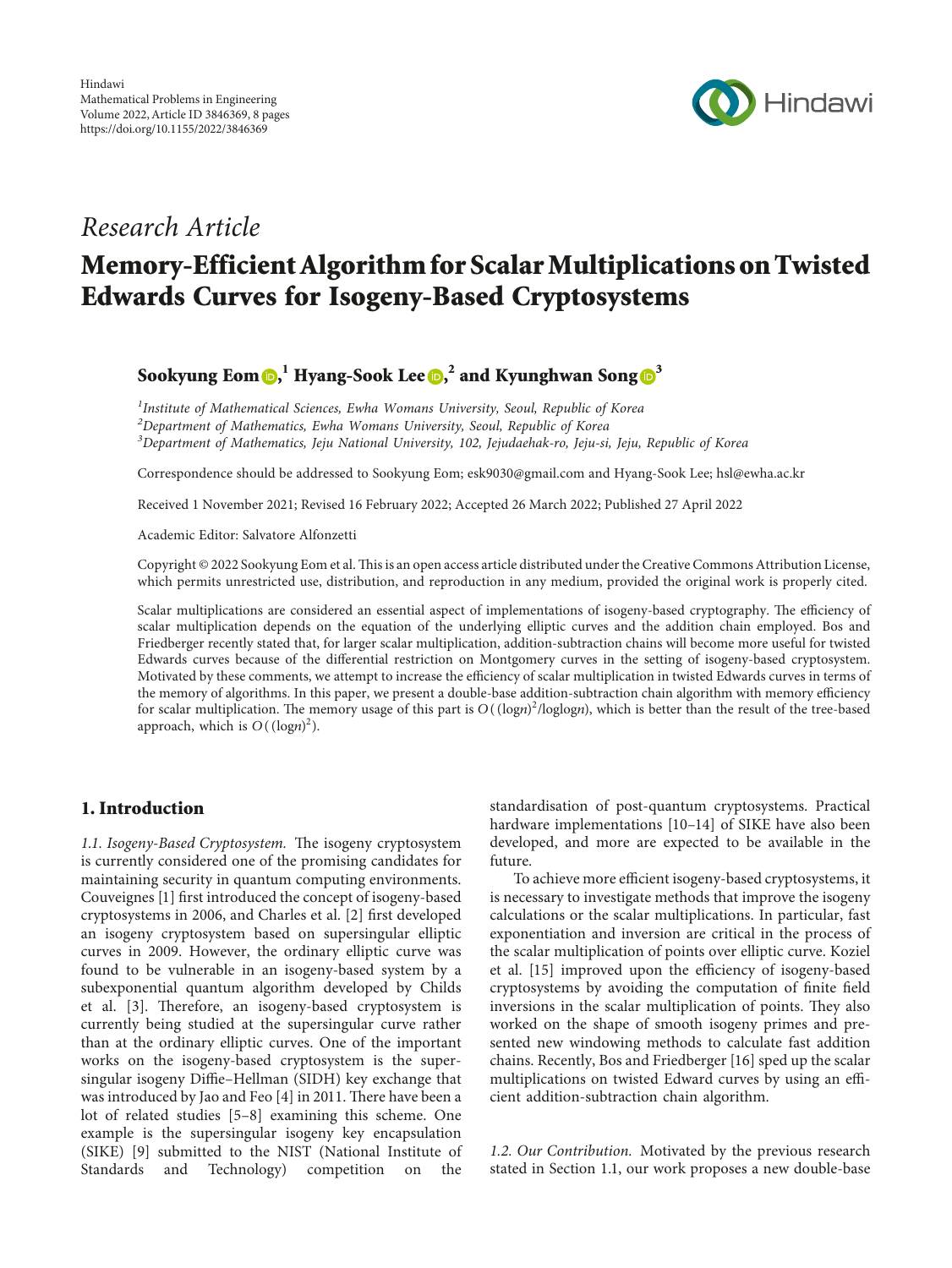

# Research Article

# Memory-Efficient Algorithm for Scalar Multiplications on Twisted Edwards Curves for Isogeny-Based Cryptosystems

## Sookyung Eom $\textbf{O},^1$  $\textbf{O},^1$  $\textbf{O},^1$  Hyang-Sook Lee  $\textbf{O},^2$  and Kyunghwan Song  $\textbf{O}^3$  $\textbf{O}^3$

 $^{\text{1}}$ Institute of Mathematical Sciences, Ewha Womans University, Seoul, Republic of Korea  $^2$ Department of Mathematics, Ewha Womans University, Seoul, Republic of Korea  $^3$ Department of Mathematics, Jeju National University, 102, Jejudaehak-ro, Jeju-si, Jeju, Republic of Korea

Correspondence should be addressed to Sookyung Eom; [esk9030@gmail.com](mailto:esk9030@gmail.com) and Hyang-Sook Lee; [hsl@ewha.ac.kr](mailto:hsl@ewha.ac.kr)

Received 1 November 2021; Revised 16 February 2022; Accepted 26 March 2022; Published 27 April 2022

Academic Editor: Salvatore Alfonzetti

Copyright © 2022 Sookyung Eom et al. This is an open access article distributed under the [Creative Commons Attribution License,](https://creativecommons.org/licenses/by/4.0/) which permits unrestricted use, distribution, and reproduction in any medium, provided the original work is properly cited.

Scalar multiplications are considered an essential aspect of implementations of isogeny-based cryptography. The efficiency of scalar multiplication depends on the equation of the underlying elliptic curves and the addition chain employed. Bos and Friedberger recently stated that, for larger scalar multiplication, addition-subtraction chains will become more useful for twisted Edwards curves because of the differential restriction on Montgomery curves in the setting of isogeny-based cryptosystem. Motivated by these comments, we attempt to increase the efficiency of scalar multiplication in twisted Edwards curves in terms of the memory of algorithms. In this paper, we present a double-base addition-subtraction chain algorithm with memory efficiency for scalar multiplication. The memory usage of this part is  $O((\text{log}n)^2/\text{log} \text{log}n)$ , which is better than the result of the tree-based approach, which is  $O((\text{log}n)^2)$ .

## 1. Introduction

1.1. Isogeny-Based Cryptosystem. The isogeny cryptosystem is currently considered one of the promising candidates for maintaining security in quantum computing environments. Couveignes [[1](#page-6-0)] first introduced the concept of isogeny-based cryptosystems in 2006, and Charles et al. [\[2\]](#page-6-0) first developed an isogeny cryptosystem based on supersingular elliptic curves in 2009. However, the ordinary elliptic curve was found to be vulnerable in an isogeny-based system by a subexponential quantum algorithm developed by Childs et al. [\[3\]](#page-6-0). Therefore, an isogeny-based cryptosystem is currently being studied at the supersingular curve rather than at the ordinary elliptic curves. One of the important works on the isogeny-based cryptosystem is the supersingular isogeny Diffie–Hellman (SIDH) key exchange that was introduced by Jao and Feo  $[4]$  $[4]$  in 2011. There have been a lot of related studies [\[5–8](#page-6-0)] examining this scheme. One example is the supersingular isogeny key encapsulation (SIKE) [[9](#page-6-0)] submitted to the NIST (National Institute of Standards and Technology) competition on the

standardisation of post-quantum cryptosystems. Practical hardware implementations [[10–14\]](#page-6-0) of SIKE have also been developed, and more are expected to be available in the future.

To achieve more efficient isogeny-based cryptosystems, it is necessary to investigate methods that improve the isogeny calculations or the scalar multiplications. In particular, fast exponentiation and inversion are critical in the process of the scalar multiplication of points over elliptic curve. Koziel et al. [\[15](#page-6-0)] improved upon the efficiency of isogeny-based cryptosystems by avoiding the computation of finite field inversions in the scalar multiplication of points. They also worked on the shape of smooth isogeny primes and presented new windowing methods to calculate fast addition chains. Recently, Bos and Friedberger [[16\]](#page-6-0) sped up the scalar multiplications on twisted Edward curves by using an efficient addition-subtraction chain algorithm.

1.2. Our Contribution. Motivated by the previous research stated in Section [1.1](#page--1-0), our work proposes a new double-base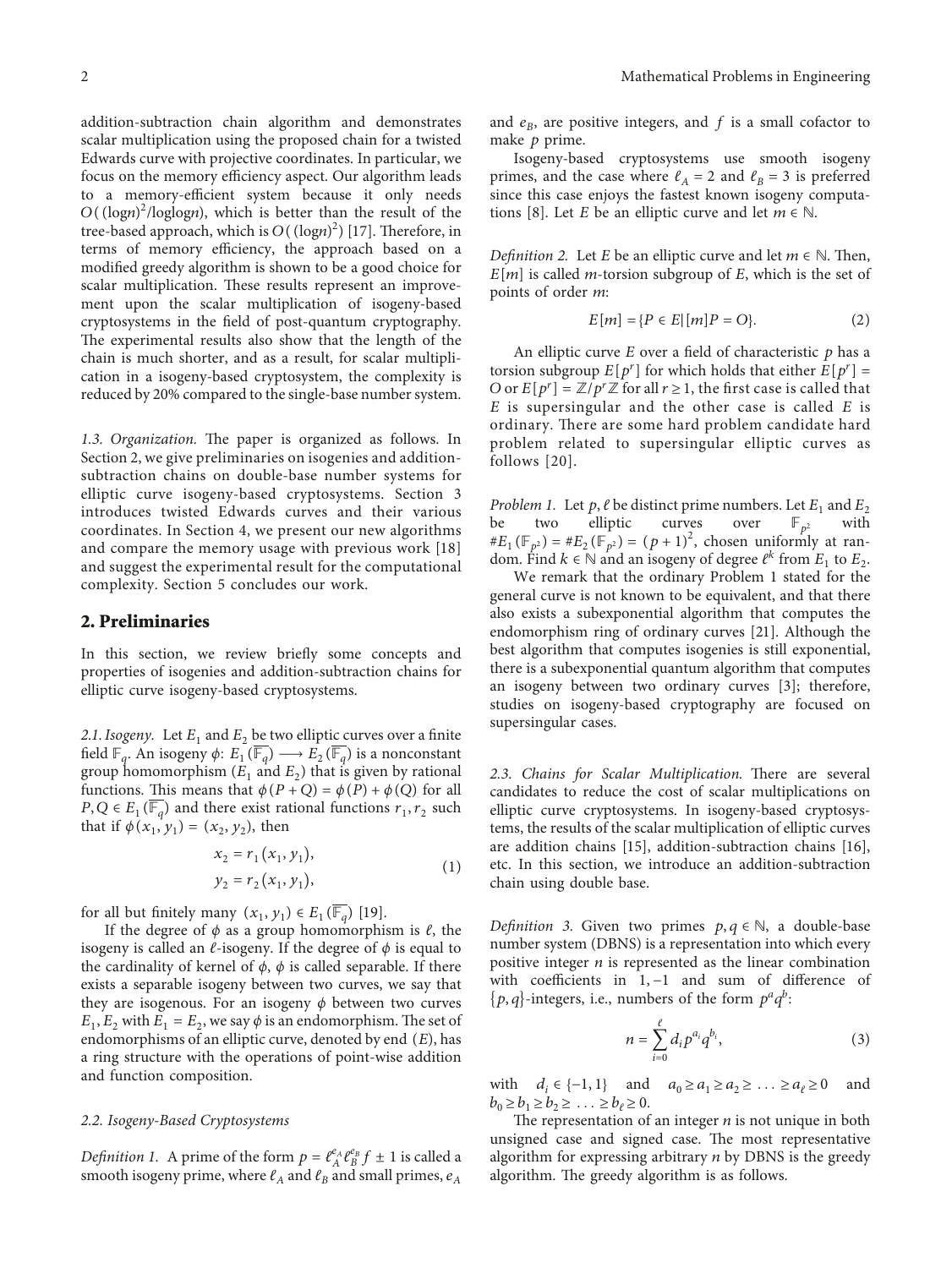addition-subtraction chain algorithm and demonstrates scalar multiplication using the proposed chain for a twisted Edwards curve with projective coordinates. In particular, we focus on the memory efficiency aspect. Our algorithm leads to a memory-efficient system because it only needs *O*((log*n*) 2 /loglog*n*), which is better than the result of the tree-based approach, which is  $O((\text{log}n)^2)$  [[17\]](#page-6-0). Therefore, in terms of memory efficiency, the approach based on a modified greedy algorithm is shown to be a good choice for scalar multiplication. These results represent an improvement upon the scalar multiplication of isogeny-based cryptosystems in the field of post-quantum cryptography. The experimental results also show that the length of the chain is much shorter, and as a result, for scalar multiplication in a isogeny-based cryptosystem, the complexity is reduced by 20% compared to the single-base number system.

1.3. Organization. The paper is organized as follows. In Section 2, we give preliminaries on isogenies and additionsubtraction chains on double-base number systems for elliptic curve isogeny-based cryptosystems. Section [3](#page-2-0) introduces twisted Edwards curves and their various coordinates. In Section [4,](#page-2-0) we present our new algorithms and compare the memory usage with previous work [[18\]](#page-6-0) and suggest the experimental result for the computational complexity. Section [5](#page-5-0) concludes our work.

#### **2. Preliminaries**

In this section, we review briefly some concepts and properties of isogenies and addition-subtraction chains for elliptic curve isogeny-based cryptosystems.

2.1. Isogeny. Let  $E_1$  and  $E_2$  be two elliptic curves over a finite field  $\mathbb{F}_q$ . An isogeny  $\phi$ :  $E_1(\overline{\mathbb{F}_q}) \longrightarrow E_2(\overline{\mathbb{F}_q})$  is a nonconstant group homomorphism  $(E_1 \text{ and } E_2)$  that is given by rational functions. This means that  $\phi(P + Q) = \phi(P) + \phi(Q)$  for all *P*, *Q* ∈ *E*<sub>1</sub>( $\overline{\mathbb{F}_a}$ ) and there exist rational functions  $r_1, r_2$  such that if  $\phi(x_1, y_1) = (x_2, y_2)$ , then

$$
x_2 = r_1(x_1, y_1),
$$
  
\n
$$
y_2 = r_2(x_1, y_1),
$$
\n(1)

for all but finitely many  $(x_1, y_1) \in E_1(\overline{\mathbb{F}_q})$  [\[19\]](#page-6-0).

If the degree of *ϕ* as a group homomorphism is *ℓ*, the isogeny is called an  $\ell$ -isogeny. If the degree of  $\phi$  is equal to the cardinality of kernel of  $\phi$ ,  $\phi$  is called separable. If there exists a separable isogeny between two curves, we say that they are isogenous. For an isogeny *ϕ* between two curves  $E_1$ ,  $E_2$  with  $E_1 = E_2$ , we say  $\phi$  is an endomorphism. The set of endomorphisms of an elliptic curve, denoted by end (*E*), has a ring structure with the operations of point-wise addition and function composition.

#### *2.2. Isogeny-Based Cryptosystems*

*Definition 1.* A prime of the form  $p = \ell_A^{\rho_A} \ell_B^{\rho_B} f \pm 1$  is called a smooth isogeny prime, where  $\ell_A$  and  $\ell_B$  and small primes,  $e_A$  and  $e_B$ , are positive integers, and  $f$  is a small cofactor to make *p* prime.

Isogeny-based cryptosystems use smooth isogeny primes, and the case where  $\ell_A = 2$  and  $\ell_B = 3$  is preferred since this case enjoys the fastest known isogeny computa-tions [[8](#page-6-0)]. Let *E* be an elliptic curve and let  $m \in \mathbb{N}$ .

*Definition 2.* Let *E* be an elliptic curve and let  $m \in \mathbb{N}$ . Then, *E*[*m*] is called *m*-torsion subgroup of *E*, which is the set of points of order *m*:

$$
E[m] = \{ P \in E | [m]P = O \}. \tag{2}
$$

An elliptic curve *E* over a field of characteristic *p* has a torsion subgroup  $E[p^r]$  for which holds that either  $E[p^r] =$ *O* or  $E[p^r] = \mathbb{Z}/p^r\mathbb{Z}$  for all  $r \ge 1$ , the first case is called that *E* is supersingular and the other case is called *E* is ordinary. There are some hard problem candidate hard problem related to supersingular elliptic curves as follows [[20\]](#page-6-0).

*Problem 1.* Let *p*, *ℓ* be distinct prime numbers. Let *E*<sub>1</sub> and *E*<sub>2</sub> be two elliptic curves over  $\mathbb{F}_{p^2}$  with be two elliptic curves over  $#E_1(\mathbb{F}_{p^2}) = #E_2(\mathbb{F}_{p^2}) = (p+1)^2$ , chosen uniformly at random. Find  $k \in \mathbb{N}$  and an isogeny of degree  $\ell^k$  from  $E_1$  to  $E_2$ .

We remark that the ordinary Problem 1 stated for the general curve is not known to be equivalent, and that there also exists a subexponential algorithm that computes the endomorphism ring of ordinary curves [[21\]](#page-6-0). Although the best algorithm that computes isogenies is still exponential, there is a subexponential quantum algorithm that computes an isogeny between two ordinary curves [\[3](#page-6-0)]; therefore, studies on isogeny-based cryptography are focused on supersingular cases.

2.3. Chains for Scalar Multiplication. There are several candidates to reduce the cost of scalar multiplications on elliptic curve cryptosystems. In isogeny-based cryptosystems, the results of the scalar multiplication of elliptic curves are addition chains [[15\]](#page-6-0), addition-subtraction chains [\[16](#page-6-0)], etc. In this section, we introduce an addition-subtraction chain using double base.

*Definition 3.* Given two primes  $p, q \in \mathbb{N}$ , a double-base number system (DBNS) is a representation into which every positive integer *n* is represented as the linear combination with coefficients in 1*,* −1 and sum of difference of  $\{p, q\}$ -integers, i.e., numbers of the form  $p^aq^b$ :

$$
n = \sum_{i=0}^{\ell} d_i p^{a_i} q^{b_i},
$$
 (3)

with *d<sub>i</sub>* ∈ {-1, 1} and  $a_0 \ge a_1 \ge a_2 \ge ... \ge a_\ell \ge 0$  and *b*<sub>0</sub> ≥ *b*<sub>1</sub> ≥ *b*<sub>2</sub> ≥ ... ≥ *b*<sub>*l*</sub> ≥ 0.

The representation of an integer  $n$  is not unique in both unsigned case and signed case. The most representative algorithm for expressing arbitrary *n* by DBNS is the greedy algorithm. The greedy algorithm is as follows.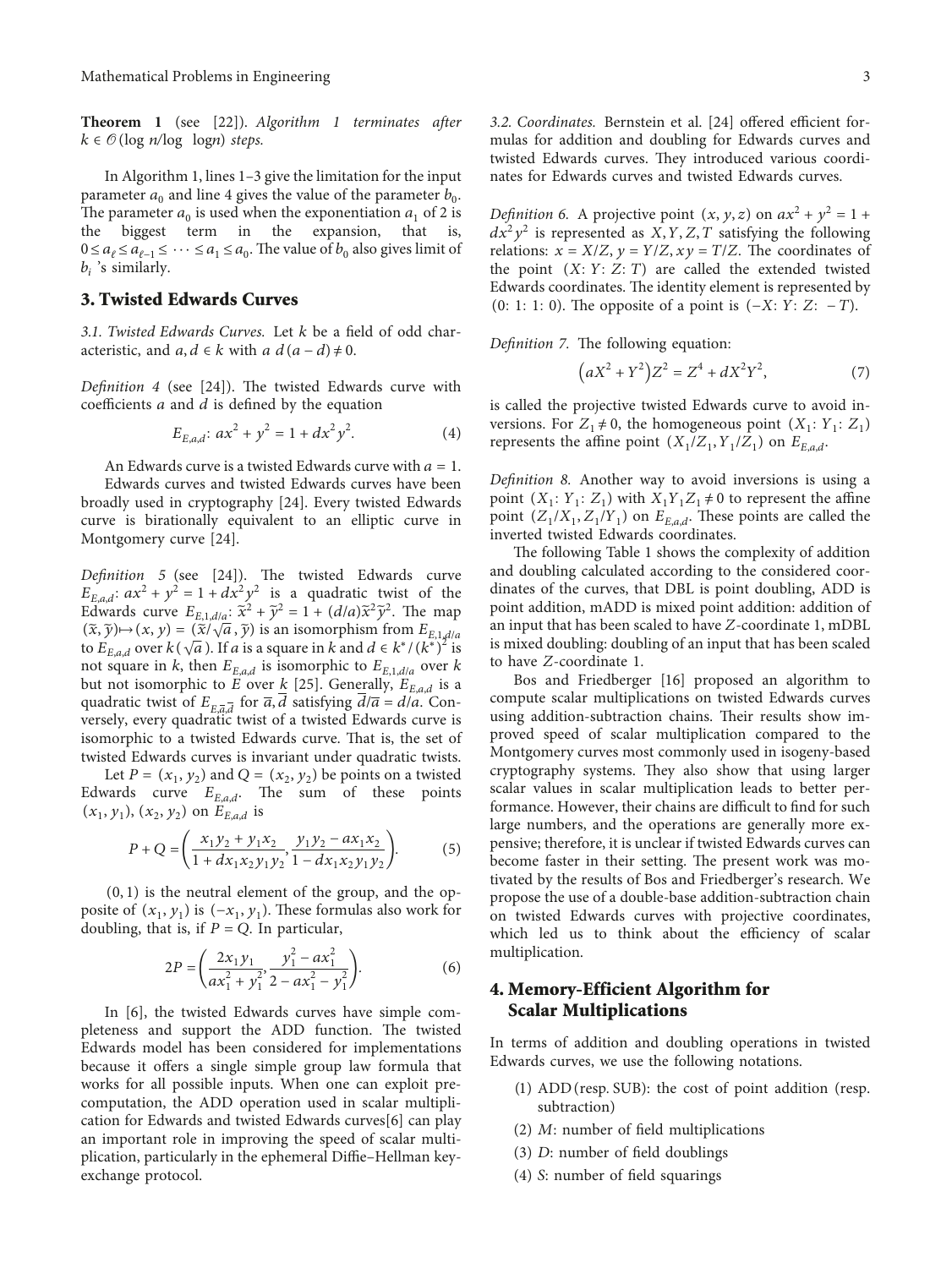<span id="page-2-0"></span>**Theorem 1** (see [[22](#page-6-0)]). *Algorithm 1 terminates after*  $k \in \mathcal{O}(\log n / \log \log n)$  *steps.* 

In Algorithm 1, lines 1–3 give the limitation for the input parameter  $a_0$  and line 4 gives the value of the parameter  $b_0$ . The parameter  $a_0$  is used when the exponentiation  $a_1$  of 2 is the biggest term in the expansion, that is, the biggest term in the expansion, that  $0 \le a_{\ell} \le a_{\ell-1} \le \cdots \le a_1 \le a_0$ . The value of  $b_0$  also gives limit of *bi* 's similarly.

## **3. Twisted Edwards Curves**

*3.1. Twisted Edwards Curves.* Let *k* be a field of odd characteristic, and  $a, d \in k$  with  $a \ d(a-d) \neq 0$ .

*Definition 4* (see [[24](#page-6-0)]). The twisted Edwards curve with coefficients *a* and *d* is defined by the equation

$$
E_{E,a,d}: ax^2 + y^2 = 1 + dx^2 y^2.
$$
 (4)

An Edwards curve is a twisted Edwards curve with  $a = 1$ .

Edwards curves and twisted Edwards curves have been broadly used in cryptography [\[24\]](#page-6-0). Every twisted Edwards curve is birationally equivalent to an elliptic curve in Montgomery curve [[24](#page-6-0)].

*Definition 5* (see [\[24\]](#page-6-0)). The twisted Edwards curve  $E_{E, a,d}$ :  $ax^2 + y^2 = 1 + dx^2y^2$  is a quadratic twist of the Edwards curve  $E_{E,1,d/a}: \tilde{x}^2 + \tilde{y}^2 = 1 + (d/a)\tilde{x}^2\tilde{y}^2$ . The map Equivalent External *a*:  $\hat{x} + y = 1 + (a/a)x$  y . The map  $(\tilde{x}, \tilde{y}) \mapsto (x, y) = (\tilde{x}/\sqrt{a}, \tilde{y})$  is an isomorphism from  $E_{E,1,d/a}$  $(x, y) \mapsto (x, y) = (x/\sqrt{a}, y)$  is an isomorphism from  $E_{E,1,d/a}$ <br>to  $E_{E,a,d}$  over  $k(\sqrt{a})$ . If *a* is a square in *k* and  $d \in k^*(k^*)^2$  is not square in *k*, then  $E_{E,a,d}$  is isomorphic to  $E_{E,1,d/a}$  over *k* but not isomorphic to *E* over  $k$  [[25](#page-6-0)]. Generally,  $E_{E,a,d}$  is a quadratic twist of  $E_{E,\overline{a},\overline{d}}$  for  $\overline{a},\overline{d}$  satisfying  $\overline{d}/\overline{a} = d/a$ . Conversely, every quadratic twist of a twisted Edwards curve is isomorphic to a twisted Edwards curve. That is, the set of twisted Edwards curves is invariant under quadratic twists.

Let  $P = (x_1, y_2)$  and  $Q = (x_2, y_2)$  be points on a twisted Edwards curve  $E_{E,a,d}$ . The sum of these points  $(x_1, y_1)$ *,*  $(x_2, y_2)$  on  $E_{E, a, d}$  is

$$
P + Q = \left(\frac{x_1 y_2 + y_1 x_2}{1 + dx_1 x_2 y_1 y_2}, \frac{y_1 y_2 - ax_1 x_2}{1 - dx_1 x_2 y_1 y_2}\right).
$$
(5)

(0*,* 1) is the neutral element of the group, and the opposite of  $(x_1, y_1)$  is  $(-x_1, y_1)$ . These formulas also work for doubling, that is, if  $P = Q$ . In particular,

$$
2P = \left(\frac{2x_1y_1}{ax_1^2 + y_1^2}, \frac{y_1^2 - ax_1^2}{2 - ax_1^2 - y_1^2}\right).
$$
 (6)

In [\[6](#page-6-0)], the twisted Edwards curves have simple completeness and support the ADD function. The twisted Edwards model has been considered for implementations because it offers a single simple group law formula that works for all possible inputs. When one can exploit precomputation, the ADD operation used in scalar multiplication for Edwards and twisted Edwards curves[[6](#page-6-0)] can play an important role in improving the speed of scalar multiplication, particularly in the ephemeral Diffie–Hellman keyexchange protocol.

*3.2. Coordinates.* Bernstein et al. [\[24\]](#page-6-0) offered efficient formulas for addition and doubling for Edwards curves and twisted Edwards curves. They introduced various coordinates for Edwards curves and twisted Edwards curves.

*Definition 6.* A projective point  $(x, y, z)$  on  $ax^2 + y^2 = 1 +$  $dx^2y^2$  is represented as *X, Y, Z, T* satisfying the following relations:  $x = X/Z$ ,  $y = Y/Z$ ,  $xy = T/Z$ . The coordinates of the point  $(X: Y: Z: T)$  are called the extended twisted Edwards coordinates. The identity element is represented by (0: 1: 1: 0). The opposite of a point is (−*X*: *Y*: *Z*: − *T*).

*Definition 7.* The following equation:

$$
(aX2 + Y2)Z2 = Z4 + dX2Y2,
$$
 (7)

is called the projective twisted Edwards curve to avoid inversions. For  $Z_1 \neq 0$ , the homogeneous point  $(X_1: Y_1: Z_1)$ represents the affine point  $(X_1/Z_1, Y_1/Z_1)$  on  $E_{E, ad}$ .

*Definition 8.* Another way to avoid inversions is using a point  $(X_1: Y_1: Z_1)$  with  $X_1Y_1Z_1 \neq 0$  to represent the affine point  $(Z_1/X_1, Z_1/Y_1)$  on  $E_{E, a,d}$ . These points are called the inverted twisted Edwards coordinates.

The following Table [1](#page-3-0) shows the complexity of addition and doubling calculated according to the considered coordinates of the curves, that DBL is point doubling, ADD is point addition, mADD is mixed point addition: addition of an input that has been scaled to have *Z*-coordinate 1, mDBL is mixed doubling: doubling of an input that has been scaled to have *Z*-coordinate 1.

Bos and Friedberger [\[16](#page-6-0)] proposed an algorithm to compute scalar multiplications on twisted Edwards curves using addition-subtraction chains. Their results show improved speed of scalar multiplication compared to the Montgomery curves most commonly used in isogeny-based cryptography systems. They also show that using larger scalar values in scalar multiplication leads to better performance. However, their chains are difficult to find for such large numbers, and the operations are generally more expensive; therefore, it is unclear if twisted Edwards curves can become faster in their setting. The present work was motivated by the results of Bos and Friedberger's research. We propose the use of a double-base addition-subtraction chain on twisted Edwards curves with projective coordinates, which led us to think about the efficiency of scalar multiplication.

## **4. Memory-Efficient Algorithm for Scalar Multiplications**

In terms of addition and doubling operations in twisted Edwards curves, we use the following notations.

- (1) ADD(resp*.* SUB): the cost of point addition (resp. subtraction)
- (2) *M*: number of field multiplications
- (3) *D*: number of field doublings
- (4) *S*: number of field squarings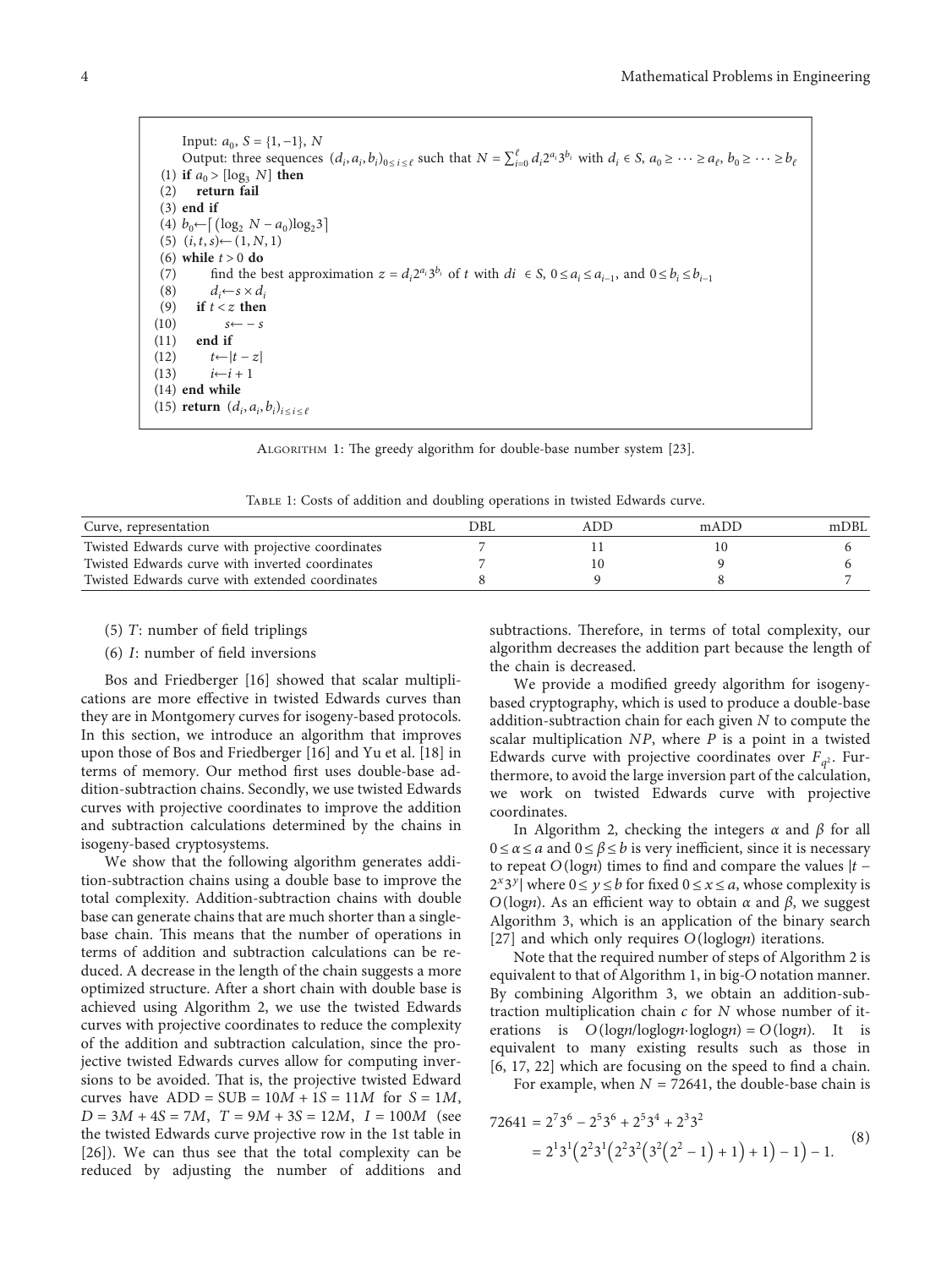<span id="page-3-0"></span>Input:  $a_0$ ,  $S = \{1, -1\}$ , *N* Output: three sequences  $(d_i, a_i, b_i)_{0 \le i \le \ell}$  such that  $N = \sum_{i=0}^{\ell} d_i 2^{a_i} 3^{b_i}$  with  $d_i \in S$ ,  $a_0 \ge \cdots \ge a_{\ell}$ ,  $b_0 \ge \cdots \ge b_{\ell}$ (1) **if**  $a_0 > [\log_3 N]$  **then** (2) **return fail** (3) **end if**  $(4)$  *b*<sub>0</sub>←  $\left[ \frac{\log_2 N - a_0 \log_2 3}{\log_2 3} \right]$  $(5)$   $(i, t, s)$ ←(1*, N, 1*) (6) **while** *t* > 0 **do** (7) find the best approximation  $z = d_i 2^{a_i} 3^{b_i}$  of *t* with  $di \in S$ ,  $0 \le a_i \le a_{i-1}$ , and  $0 \le b_i \le b_{i-1}$ <br>(8)  $d_i \leftarrow s \times d_i$ (8)  $d_i \leftarrow s \times d_i$ <br>(9) if  $t < z$  then if  $t < z$  then (10) *s*← − *s* (11) **end if**  $t \leftarrow |t - z|$  $(i13)$   $i \leftarrow i + 1$ (14) **end while**  $(15)$  **return**  $(d_i, a_i, b_i)_{i \leq i \leq \ell}$ 

ALGORITHM 1: The greedy algorithm for double-base number system [[23](#page-6-0)].

Table 1: Costs of addition and doubling operations in twisted Edwards curve.

| mDBL |
|------|
|      |
|      |
|      |
|      |

- (5) *T*: number of field triplings
- (6) *I*: number of field inversions

Bos and Friedberger [[16\]](#page-6-0) showed that scalar multiplications are more effective in twisted Edwards curves than they are in Montgomery curves for isogeny-based protocols. In this section, we introduce an algorithm that improves upon those of Bos and Friedberger [\[16](#page-6-0)] and Yu et al. [[18\]](#page-6-0) in terms of memory. Our method first uses double-base addition-subtraction chains. Secondly, we use twisted Edwards curves with projective coordinates to improve the addition and subtraction calculations determined by the chains in isogeny-based cryptosystems.

We show that the following algorithm generates addition-subtraction chains using a double base to improve the total complexity. Addition-subtraction chains with double base can generate chains that are much shorter than a singlebase chain. This means that the number of operations in terms of addition and subtraction calculations can be reduced. A decrease in the length of the chain suggests a more optimized structure. After a short chain with double base is achieved using Algorithm 2, we use the twisted Edwards curves with projective coordinates to reduce the complexity of the addition and subtraction calculation, since the projective twisted Edwards curves allow for computing inversions to be avoided. That is, the projective twisted Edward curves have  $ADD = SUB = 10M + 1S = 11M$  for  $S = 1M$ ,  $D = 3M + 4S = 7M$ ,  $T = 9M + 3S = 12M$ ,  $I = 100M$  (see the twisted Edwards curve projective row in the 1st table in [\[26\]](#page-6-0)). We can thus see that the total complexity can be reduced by adjusting the number of additions and subtractions. Therefore, in terms of total complexity, our algorithm decreases the addition part because the length of the chain is decreased.

We provide a modified greedy algorithm for isogenybased cryptography, which is used to produce a double-base addition-subtraction chain for each given *N* to compute the scalar multiplication *NP*, where *P* is a point in a twisted Edwards curve with projective coordinates over  $F_{q^2}$ . Furthermore, to avoid the large inversion part of the calculation, we work on twisted Edwards curve with projective coordinates.

In Algorithm 2, checking the integers *α* and *β* for all  $0 \le \alpha \le a$  and  $0 \le \beta \le b$  is very inefficient, since it is necessary to repeat *O*(log*n*) times to find and compare the values |*t* −  $2^{x}3^{y}$  where  $0 \le y \le b$  for fixed  $0 \le x \le a$ , whose complexity is *O*(log*n*). As an efficient way to obtain *α* and *β*, we suggest Algorithm 3, which is an application of the binary search [\[27\]](#page-7-0) and which only requires *O*(loglog*n*) iterations.

Note that the required number of steps of Algorithm 2 is equivalent to that of Algorithm 1, in big-*O* notation manner. By combining Algorithm 3, we obtain an addition-subtraction multiplication chain *c* for *N* whose number of iterations is  $O(logn/loglogn\cdot loglogn) = O(logn)$ . It is equivalent to many existing results such as those in [\[6](#page-6-0), [17](#page-6-0), [22\]](#page-6-0) which are focusing on the speed to find a chain.

For example, when  $N = 72641$ , the double-base chain is

$$
72641 = 2736 - 2536 + 2534 + 2332
$$
  
= 2<sup>1</sup>3<sup>1</sup>(2<sup>2</sup>3<sup>1</sup>(2<sup>2</sup>3<sup>2</sup>(3<sup>2</sup>(2<sup>2</sup> - 1) + 1) + 1) - 1) - 1. (8)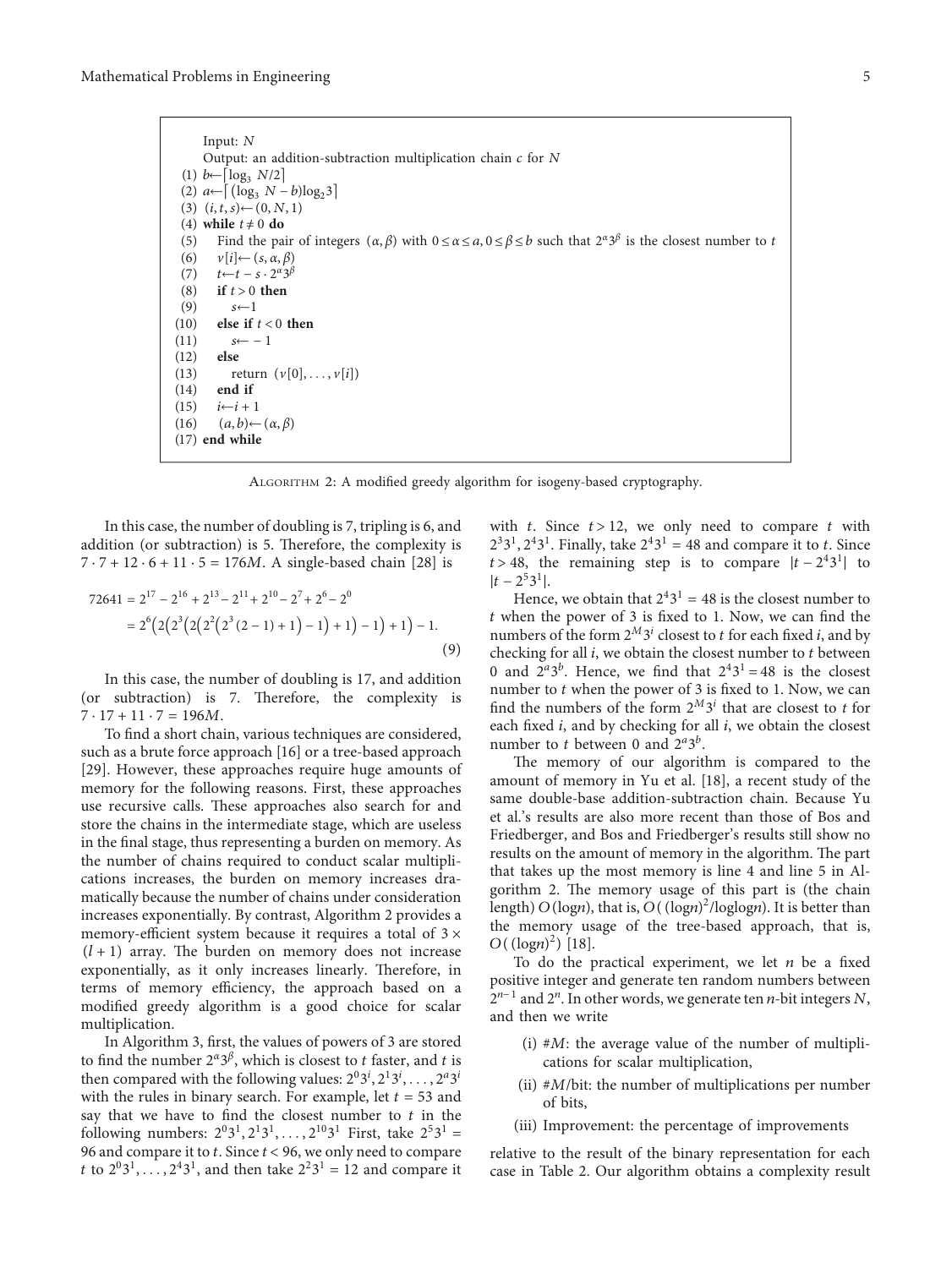Input: *N* Output: an addition-subtraction multiplication chain *c* for *N*  $(1)$  *b*←[ $log_3$  *N*/2]  $(2)$  *a*←  $\left[ \left( \log_3 N - b \right) \log_2 3 \right]$ (3)  $(i, t, s)$ ←(0*, N*, 1) (4) **while**  $t \neq 0$  **do** (5) Find the pair of integers  $(\alpha, \beta)$  with  $0 \le \alpha \le a, 0 \le \beta \le b$  such that  $2^{\alpha}3^{\beta}$  is the closest number to *t* (6) *v*[*i*]←(*s, α, β*) (7) *t*←*t* − *s* · 2*<sup>α</sup>*3*<sup>β</sup>* (8) **if** *t* > 0 **then** (9) *s*←1 (10) **else if** *t* < 0 **then** (11)  $s \leftarrow -1$ <br>(12) **else**  $(12)$ (13) return  $(v[0], ..., v[i])$ <br>(14) **end if** (14) **end if**<br>(15)  $i \leftarrow i + 1$  $i \leftarrow i + 1$ (16)  $(a, b)$ ← $(\alpha, \beta)$ (17) **end while**

ALGORITHM 2: A modified greedy algorithm for isogeny-based cryptography.

In this case, the number of doubling is 7, tripling is 6, and addition (or subtraction) is 5. Therefore, the complexity is  $7 \cdot 7 + 12 \cdot 6 + 11 \cdot 5 = 176M$ . A single-based chain [[28](#page-7-0)] is

$$
72641 = 217 - 216 + 213 - 211 + 210 - 27 + 26 - 20
$$
  
= 2<sup>6</sup>(2(2<sup>3</sup>(2(2<sup>3</sup>(2<sup>3</sup>(2-1)+1)-1)+1)-1)+1)-1. (9)

In this case, the number of doubling is 17, and addition (or subtraction) is  $7$ . Therefore, the complexity is  $7 \cdot 17 + 11 \cdot 7 = 196M$ .

To find a short chain, various techniques are considered, such as a brute force approach [[16\]](#page-6-0) or a tree-based approach [\[29\]](#page-7-0). However, these approaches require huge amounts of memory for the following reasons. First, these approaches use recursive calls. These approaches also search for and store the chains in the intermediate stage, which are useless in the final stage, thus representing a burden on memory. As the number of chains required to conduct scalar multiplications increases, the burden on memory increases dramatically because the number of chains under consideration increases exponentially. By contrast, Algorithm 2 provides a memory-efficient system because it requires a total of  $3 \times$  $(l + 1)$  array. The burden on memory does not increase exponentially, as it only increases linearly. Therefore, in terms of memory efficiency, the approach based on a modified greedy algorithm is a good choice for scalar multiplication.

In Algorithm 3, first, the values of powers of 3 are stored to find the number  $2^{\alpha}3^{\beta}$ , which is closest to *t* faster, and *t* is then compared with the following values:  $2^03^i, 2^13^i, \ldots, 2^a3^i$ with the rules in binary search. For example, let  $t = 53$  and say that we have to find the closest number to *t* in the following numbers:  $2^{0}3^{1}, 2^{1}3^{1}, \ldots, 2^{10}3^{1}$  First, take  $2^{5}3^{1} =$ 96 and compare it to *t*. Since *t* < 96, we only need to compare *t* to  $2^{0}3^{1}$ , ...,  $2^{4}3^{1}$ , and then take  $2^{2}3^{1} = 12$  and compare it

with  $t$ . Since  $t > 12$ , we only need to compare  $t$  with  $2<sup>3</sup>3<sup>1</sup>$ ,  $2<sup>4</sup>3<sup>1</sup>$ . Finally, take  $2<sup>4</sup>3<sup>1</sup> = 48$  and compare it to *t*. Since  $t > 48$ , the remaining step is to compare  $|t - 2^4 3^1|$  to  $|t - 2^53^1|$ .

Hence, we obtain that  $2^43^1 = 48$  is the closest number to *t* when the power of 3 is fixed to 1. Now, we can find the numbers of the form  $2^M 3^i$  closest to *t* for each fixed *i*, and by checking for all *i*, we obtain the closest number to *t* between 0 and  $2^a 3^b$ . Hence, we find that  $2^4 3^1 = 48$  is the closest number to *t* when the power of 3 is fixed to 1. Now, we can find the numbers of the form  $2^M 3^i$  that are closest to *t* for each fixed *i*, and by checking for all *i*, we obtain the closest number to *t* between 0 and 2*<sup>a</sup>*3*<sup>b</sup>*.

The memory of our algorithm is compared to the amount of memory in Yu et al. [[18\]](#page-6-0), a recent study of the same double-base addition-subtraction chain. Because Yu et al.'s results are also more recent than those of Bos and Friedberger, and Bos and Friedberger's results still show no results on the amount of memory in the algorithm. The part that takes up the most memory is line 4 and line 5 in Algorithm 2. The memory usage of this part is (the chain length) *O*(log*n*), that is, *O*((log*n*) 2 /loglog*n*). It is better than the memory usage of the tree-based approach, that is, *O*((log*n*) 2 ) [[18\]](#page-6-0).

To do the practical experiment, we let *n* be a fixed positive integer and generate ten random numbers between 2*<sup>n</sup>*<sup>−</sup> <sup>1</sup> and 2*<sup>n</sup>*. In other words, we generate ten *n*-bit integers *N*, and then we write

- (i) #*M*: the average value of the number of multiplications for scalar multiplication,
- (ii) #*M*/bit: the number of multiplications per number of bits,
- (iii) Improvement: the percentage of improvements

relative to the result of the binary representation for each case in Table [2.](#page-5-0) Our algorithm obtains a complexity result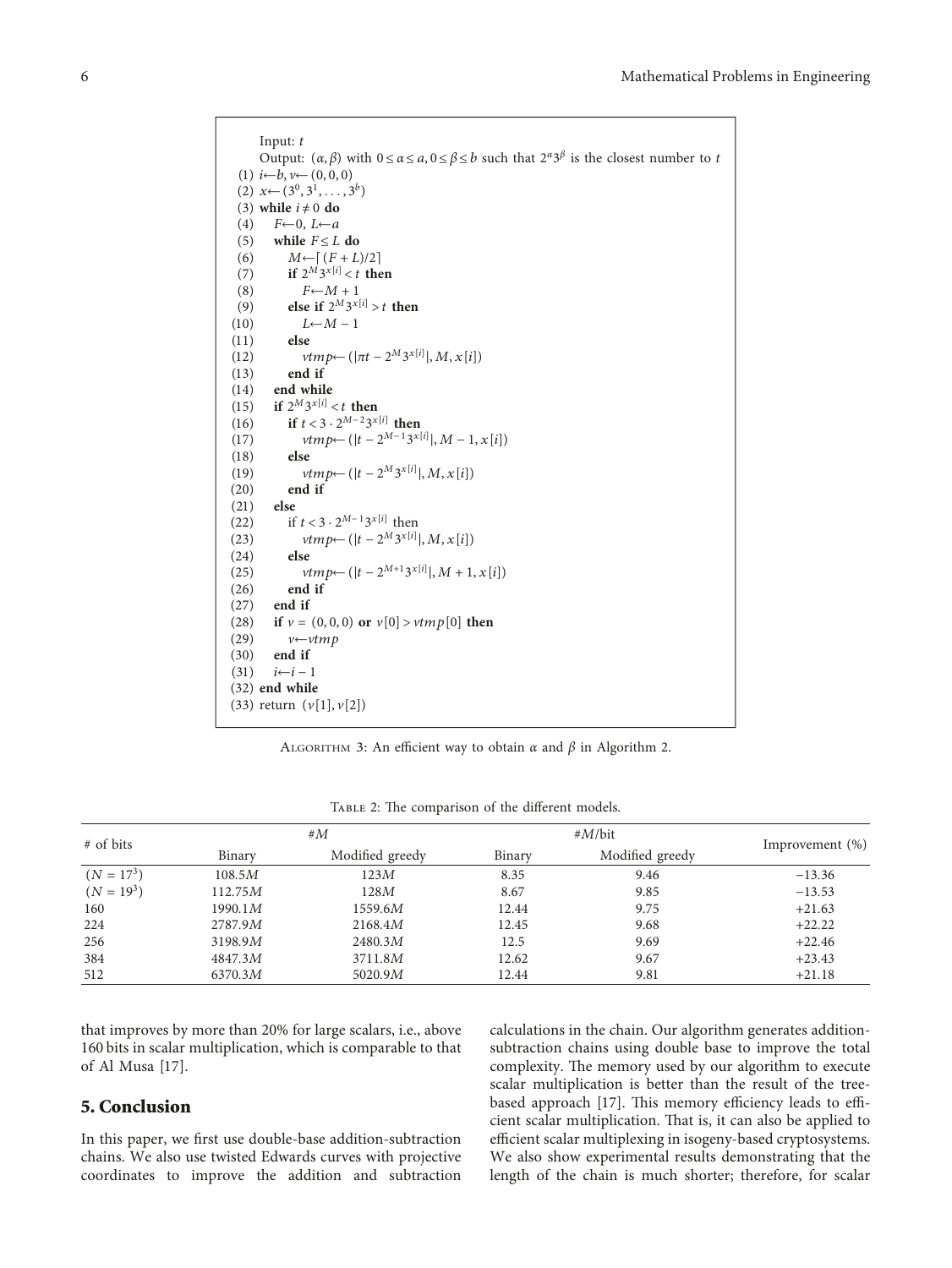```
Input: t
      Output: (α, β) with 0 ≤ α ≤ a, 0 ≤ β ≤ b such that 2α3β is the closest number to t
 (1) i←b, v←(0, 0, 0)
 (2) x←(3^0, 3^1, \ldots, 3^b)(3) while i \neq 0 do<br>(4) F \leftarrow 0, L \leftarrow aF \leftarrow 0, L \leftarrow a(5) while F \leq L do
 (6) M \leftarrow [ (F + L)/2 ](7) if 2^M 3^{x[i]} < t then
 (8) F \leftarrow M + 1(9) else if 2^M 3^{x[i]} > t then<br>(10) L \leftarrow M - 1L←M − 1
(11)(12) vtmp←(|πt − 2M3x[i]
|, M, x[i])
(13) end if
(14) end while<br>(15) if 2^M 3^{x[i]}(15) if 2^M 3^{x[i]} < t then<br>(16) if t < 3 \cdot 2^{M-2} 3^x(16) if t < 3 \cdot 2^{M-2} 3^{x[i]} then<br>(17) vtmp \leftarrow (|t-2^{M-1} 3^x|))(17) vtmp ← (|t - 2^{M-1}3^{x[i]}|, M - 1, x[i])(18) else
(19) vtmp \leftarrow (|t - 2^M 3^{x[i]}|, M, x[i])(20) end if
(21) else
(22) if t < 3 \cdot 2^{M-1}3^{x[i]} then
(23) vtmp←(|t - 2^M 3^{x[i]}|, M, x[i])
(24) else
(25) vtmp←(|t - 2^{M+1}3^{x[i]}|, M + 1, x[i])
(26) end if
(27) end if<br>(28) if \nu =(28) if v = (0, 0, 0) or v[0] > vtmp[0] then<br>(29) v \leftarrow vtmp(29) v \leftarrow vtmp<br>(30) end if
         (30) end if
(31) i←i − 1
(32) end while
(33) return (v[1], v[2])
```
ALGORITHM 3: An efficient way to obtain  $\alpha$  and  $\beta$  in Algorithm 2.

| # of bits    | # $M$   |                 | $#M/b$ it |                 | Improvement $(\%)$ |
|--------------|---------|-----------------|-----------|-----------------|--------------------|
|              | Binary  | Modified greedy | Binary    | Modified greedy |                    |
| $(N = 173)$  | 108.5M  | 123M            | 8.35      | 9.46            | $-13.36$           |
| $(N = 19^3)$ | 112.75M | 128M            | 8.67      | 9.85            | $-13.53$           |
| 160          | 1990.1M | 1559.6M         | 12.44     | 9.75            | $+21.63$           |
| 224          | 2787.9M | 2168.4M         | 12.45     | 9.68            | $+22.22$           |
| 256          | 3198.9M | 2480.3M         | 12.5      | 9.69            | $+22.46$           |
| 384          | 4847.3M | 3711.8M         | 12.62     | 9.67            | $+23.43$           |
| 512          | 6370.3M | 5020.9M         | 12.44     | 9.81            | $+21.18$           |

TABLE 2: The comparison of the different models.

that improves by more than 20% for large scalars, i.e., above 160 bits in scalar multiplication, which is comparable to that of Al Musa [\[17](#page-6-0)].

## **5. Conclusion**

In this paper, we first use double-base addition-subtraction chains. We also use twisted Edwards curves with projective coordinates to improve the addition and subtraction

calculations in the chain. Our algorithm generates additionsubtraction chains using double base to improve the total complexity. The memory used by our algorithm to execute scalar multiplication is better than the result of the tree-based approach [[17\]](#page-6-0). This memory efficiency leads to efficient scalar multiplication. That is, it can also be applied to efficient scalar multiplexing in isogeny-based cryptosystems. We also show experimental results demonstrating that the length of the chain is much shorter; therefore, for scalar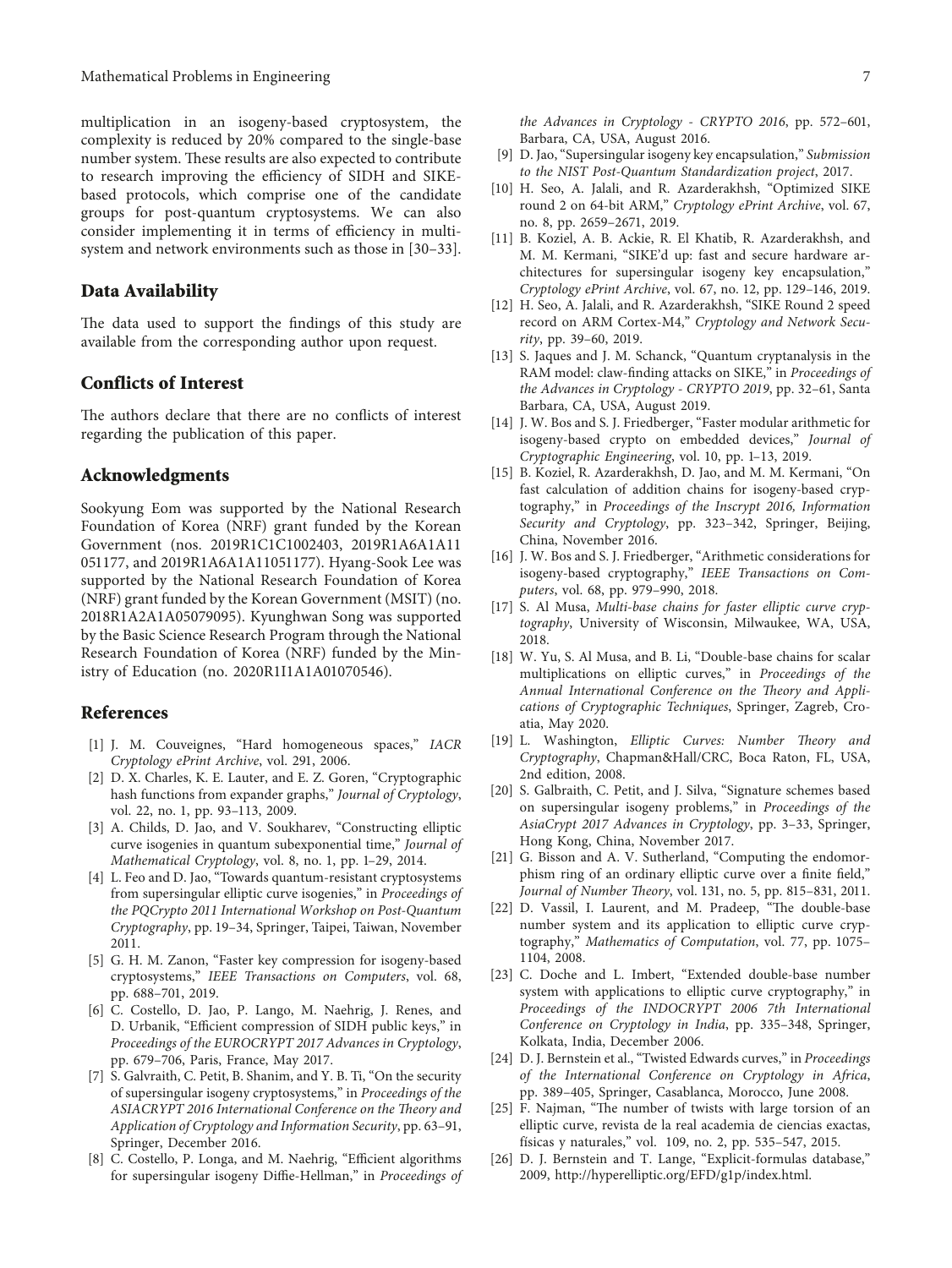<span id="page-6-0"></span>multiplication in an isogeny-based cryptosystem, the complexity is reduced by 20% compared to the single-base number system. These results are also expected to contribute to research improving the efficiency of SIDH and SIKEbased protocols, which comprise one of the candidate groups for post-quantum cryptosystems. We can also consider implementing it in terms of efficiency in multisystem and network environments such as those in [\[30–33](#page-7-0)].

#### **Data Availability**

The data used to support the findings of this study are available from the corresponding author upon request.

## **Conflicts of Interest**

The authors declare that there are no conflicts of interest regarding the publication of this paper.

## **Acknowledgments**

Sookyung Eom was supported by the National Research Foundation of Korea (NRF) grant funded by the Korean Government (nos. 2019R1C1C1002403, 2019R1A6A1A11 051177, and 2019R1A6A1A11051177). Hyang-Sook Lee was supported by the National Research Foundation of Korea (NRF) grant funded by the Korean Government (MSIT) (no. 2018R1A2A1A05079095). Kyunghwan Song was supported by the Basic Science Research Program through the National Research Foundation of Korea (NRF) funded by the Ministry of Education (no. 2020R1I1A1A01070546).

## **References**

- [1] J. M. Couveignes, "Hard homogeneous spaces," *IACR Cryptology ePrint Archive*, vol. 291, 2006.
- [2] D. X. Charles, K. E. Lauter, and E. Z. Goren, "Cryptographic hash functions from expander graphs," *Journal of Cryptology*, vol. 22, no. 1, pp. 93–113, 2009.
- [3] A. Childs, D. Jao, and V. Soukharev, "Constructing elliptic curve isogenies in quantum subexponential time," *Journal of Mathematical Cryptology*, vol. 8, no. 1, pp. 1–29, 2014.
- [4] L. Feo and D. Jao, "Towards quantum-resistant cryptosystems from supersingular elliptic curve isogenies," in *Proceedings of the PQCrypto 2011 International Workshop on Post-Quantum Cryptography*, pp. 19–34, Springer, Taipei, Taiwan, November 2011.
- [5] G. H. M. Zanon, "Faster key compression for isogeny-based cryptosystems," *IEEE Transactions on Computers*, vol. 68, pp. 688–701, 2019.
- [6] C. Costello, D. Jao, P. Lango, M. Naehrig, J. Renes, and D. Urbanik, "Efficient compression of SIDH public keys," in *Proceedings of the EUROCRYPT 2017 Advances in Cryptology*, pp. 679–706, Paris, France, May 2017.
- [7] S. Galvraith, C. Petit, B. Shanim, and Y. B. Ti, "On the security of supersingular isogeny cryptosystems," in *Proceedings of the* ASIACRYPT 2016 International Conference on the Theory and *Application of Cryptology and Information Security*, pp. 63–91, Springer, December 2016.
- [8] C. Costello, P. Longa, and M. Naehrig, "Efficient algorithms for supersingular isogeny Diffie-Hellman," in *Proceedings of*

*the Advances in Cryptology - CRYPTO 2016*, pp. 572–601, Barbara, CA, USA, August 2016.

- [9] D. Jao, "Supersingular isogeny key encapsulation," *Submission to the NIST Post-Quantum Standardization project*, 2017.
- [10] H. Seo, A. Jalali, and R. Azarderakhsh, "Optimized SIKE round 2 on 64-bit ARM," *Cryptology ePrint Archive*, vol. 67, no. 8, pp. 2659–2671, 2019.
- [11] B. Koziel, A. B. Ackie, R. El Khatib, R. Azarderakhsh, and M. M. Kermani, "SIKE'd up: fast and secure hardware architectures for supersingular isogeny key encapsulation," *Cryptology ePrint Archive*, vol. 67, no. 12, pp. 129–146, 2019.
- [12] H. Seo, A. Jalali, and R. Azarderakhsh, "SIKE Round 2 speed record on ARM Cortex-M4," *Cryptology and Network Security*, pp. 39–60, 2019.
- [13] S. Jaques and J. M. Schanck, "Quantum cryptanalysis in the RAM model: claw-finding attacks on SIKE," in *Proceedings of the Advances in Cryptology - CRYPTO 2019*, pp. 32–61, Santa Barbara, CA, USA, August 2019.
- [14] J. W. Bos and S. J. Friedberger, "Faster modular arithmetic for isogeny-based crypto on embedded devices," *Journal of Cryptographic Engineering*, vol. 10, pp. 1–13, 2019.
- [15] B. Koziel, R. Azarderakhsh, D. Jao, and M. M. Kermani, "On fast calculation of addition chains for isogeny-based cryptography," in *Proceedings of the Inscrypt 2016, Information Security and Cryptology*, pp. 323–342, Springer, Beijing, China, November 2016.
- [16] J. W. Bos and S. J. Friedberger, "Arithmetic considerations for isogeny-based cryptography," *IEEE Transactions on Computers*, vol. 68, pp. 979–990, 2018.
- [17] S. Al Musa, *Multi-base chains for faster elliptic curve cryptography*, University of Wisconsin, Milwaukee, WA, USA, 2018.
- [18] W. Yu, S. Al Musa, and B. Li, "Double-base chains for scalar multiplications on elliptic curves," in *Proceedings of the* Annual International Conference on the Theory and Appli*cations of Cryptographic Techniques*, Springer, Zagreb, Croatia, May 2020.
- [19] L. Washington, *Elliptic Curves: Number Theory and Cryptography*, Chapman&Hall/CRC, Boca Raton, FL, USA, 2nd edition, 2008.
- [20] S. Galbraith, C. Petit, and J. Silva, "Signature schemes based on supersingular isogeny problems," in *Proceedings of the AsiaCrypt 2017 Advances in Cryptology*, pp. 3–33, Springer, Hong Kong, China, November 2017.
- [21] G. Bisson and A. V. Sutherland, "Computing the endomorphism ring of an ordinary elliptic curve over a finite field," *Journal of Number Theory*, vol. 131, no. 5, pp. 815–831, 2011.
- [22] D. Vassil, I. Laurent, and M. Pradeep, "The double-base number system and its application to elliptic curve cryptography," *Mathematics of Computation*, vol. 77, pp. 1075– 1104, 2008.
- [23] C. Doche and L. Imbert, "Extended double-base number system with applications to elliptic curve cryptography," in *Proceedings of the INDOCRYPT 2006 7th International Conference on Cryptology in India*, pp. 335–348, Springer, Kolkata, India, December 2006.
- [24] D. J. Bernstein et al., "Twisted Edwards curves," in *Proceedings of the International Conference on Cryptology in Africa*, pp. 389–405, Springer, Casablanca, Morocco, June 2008.
- [25] F. Najman, "The number of twists with large torsion of an elliptic curve, revista de la real academia de ciencias exactas, físicas y naturales," vol. 109, no. 2, pp. 535–547, 2015.
- [26] D. J. Bernstein and T. Lange, "Explicit-formulas database," 2009,<http://hyperelliptic.org/EFD/g1p/index.html>.